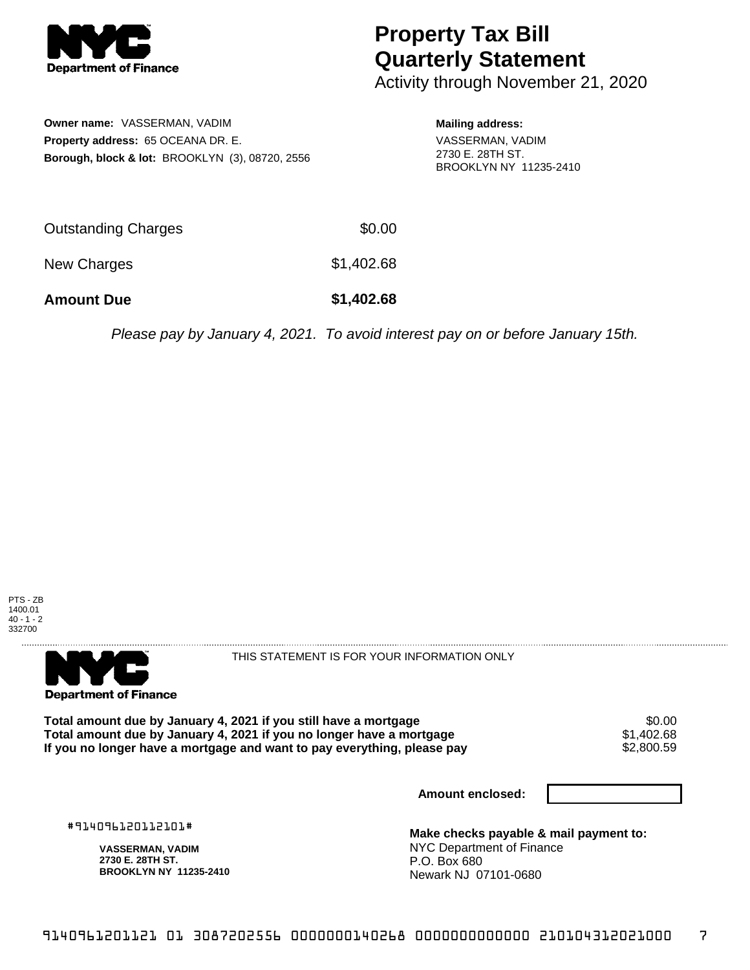

## **Property Tax Bill Quarterly Statement**

Activity through November 21, 2020

**Owner name:** VASSERMAN, VADIM **Property address:** 65 OCEANA DR. E. **Borough, block & lot:** BROOKLYN (3), 08720, 2556 **Mailing address:**

VASSERMAN, VADIM 2730 E. 28TH ST. BROOKLYN NY 11235-2410

| <b>Amount Due</b>   | \$1,402.68 |
|---------------------|------------|
| New Charges         | \$1,402.68 |
| Outstanding Charges | \$0.00     |

Please pay by January 4, 2021. To avoid interest pay on or before January 15th.





THIS STATEMENT IS FOR YOUR INFORMATION ONLY

Total amount due by January 4, 2021 if you still have a mortgage \$0.00<br>Total amount due by January 4, 2021 if you no longer have a mortgage \$1.402.68 **Total amount due by January 4, 2021 if you no longer have a mortgage**  $$1,402.68$ **<br>If you no longer have a mortgage and want to pay everything, please pay**  $$2,800.59$ If you no longer have a mortgage and want to pay everything, please pay

**Amount enclosed:**

#914096120112101#

**VASSERMAN, VADIM 2730 E. 28TH ST. BROOKLYN NY 11235-2410**

**Make checks payable & mail payment to:** NYC Department of Finance P.O. Box 680 Newark NJ 07101-0680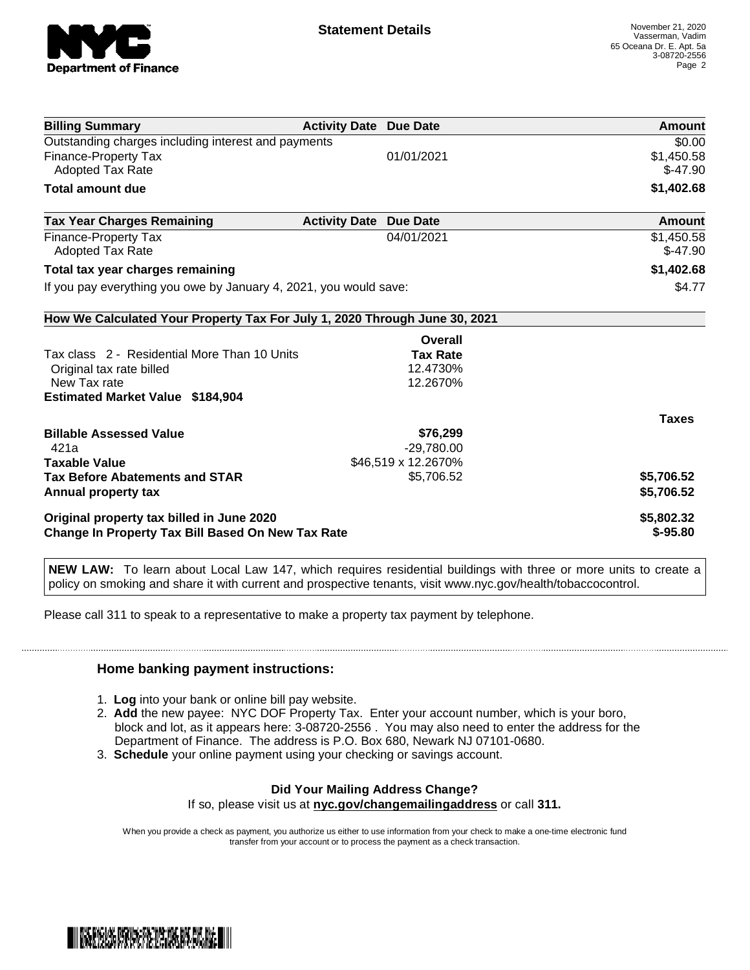

| <b>Billing Summary</b>                                                     | <b>Activity Date Due Date</b> |                     | Amount        |
|----------------------------------------------------------------------------|-------------------------------|---------------------|---------------|
| Outstanding charges including interest and payments                        |                               |                     | \$0.00        |
| Finance-Property Tax                                                       |                               | 01/01/2021          | \$1,450.58    |
| <b>Adopted Tax Rate</b>                                                    |                               |                     | $$-47.90$     |
| <b>Total amount due</b>                                                    |                               |                     | \$1,402.68    |
| <b>Tax Year Charges Remaining</b>                                          | <b>Activity Date</b>          | <b>Due Date</b>     | <b>Amount</b> |
| Finance-Property Tax                                                       |                               | 04/01/2021          | \$1,450.58    |
| Adopted Tax Rate                                                           |                               |                     | $$-47.90$     |
| Total tax year charges remaining                                           |                               |                     | \$1,402.68    |
| If you pay everything you owe by January 4, 2021, you would save:          |                               |                     | \$4.77        |
| How We Calculated Your Property Tax For July 1, 2020 Through June 30, 2021 |                               |                     |               |
|                                                                            |                               | Overall             |               |
| Tax class 2 - Residential More Than 10 Units                               |                               | <b>Tax Rate</b>     |               |
| Original tax rate billed                                                   |                               | 12.4730%            |               |
| New Tax rate                                                               |                               | 12.2670%            |               |
| <b>Estimated Market Value \$184,904</b>                                    |                               |                     |               |
|                                                                            |                               |                     | <b>Taxes</b>  |
| <b>Billable Assessed Value</b>                                             |                               | \$76,299            |               |
| 421a                                                                       |                               | $-29,780.00$        |               |
| <b>Taxable Value</b>                                                       |                               | \$46,519 x 12.2670% |               |
| <b>Tax Before Abatements and STAR</b>                                      |                               | \$5,706.52          | \$5,706.52    |
| Annual property tax                                                        |                               |                     | \$5,706.52    |
| Original property tax billed in June 2020                                  |                               |                     | \$5,802.32    |
| <b>Change In Property Tax Bill Based On New Tax Rate</b>                   |                               |                     | $$ -95.80$    |

**NEW LAW:** To learn about Local Law 147, which requires residential buildings with three or more units to create a policy on smoking and share it with current and prospective tenants, visit www.nyc.gov/health/tobaccocontrol.

Please call 311 to speak to a representative to make a property tax payment by telephone.

## **Home banking payment instructions:**

- 1. **Log** into your bank or online bill pay website.
- 2. **Add** the new payee: NYC DOF Property Tax. Enter your account number, which is your boro, block and lot, as it appears here: 3-08720-2556 . You may also need to enter the address for the Department of Finance. The address is P.O. Box 680, Newark NJ 07101-0680.
- 3. **Schedule** your online payment using your checking or savings account.

## **Did Your Mailing Address Change?**

If so, please visit us at **nyc.gov/changemailingaddress** or call **311.**

When you provide a check as payment, you authorize us either to use information from your check to make a one-time electronic fund transfer from your account or to process the payment as a check transaction.